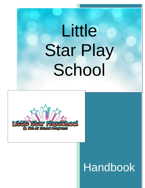# $\mathbf{R}$ **2022** Little Star Play School



# Handbook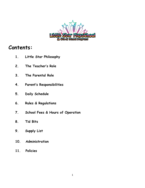

# **Contents:**

- **1. Little Star Philosophy**
- **2. The Teacher's Role**
- **3. The Parental Role**
- **4. Parent's Responsibilities**
- **5. Daily Schedule**
- **6. Rules & Regulations**
- **7. School Fees & Hours of Operation**
- **8. Tid Bits**
- **9. Supply List**
- **10. Administration**
- **11. Policies**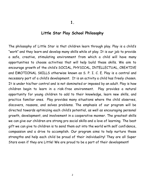#### **Little Star Play School Philosophy**

The philosophy of Little Star is that children learn through play. Play is a child's "work" and they learn and develop many skills while at play. It is our job to provide a safe, creative, stimulating environment from which a child will have many opportunities to choose activities that will help build these skills. We aim to encourage growth of the child's SOCIAL, PHYSICAL, INTELLECTUAL, CREATIVE and EMOTIONAL SKILLS otherwise known as S. P. I. C. E. Play is a central and necessary part of a child's development. It is an activity a child has freely chosen. It is under his/her control and is not dominated or imposed by an adult. Play is how children begin to learn in a risk-free environment. Play provides a natural opportunity for young children to add to their knowledge, learn new skills, and practice familiar ones. Play provides many situations where the child observes, discovers, reasons, and solves problems. The emphasis of our program will be directed towards optimizing each child's potential, as well as encouraging personal growth, development, and involvement in a cooperative manner. The greatest skills we can give our children are strong pro social skills and a love of learning. The best gift we can give to children is to send them out into the world with self confidence, compassion and a drive to accomplish. Our program aims to help nurture these strengths and help each child be proud of their individuality! They are all Super Stars even if they are Little! We are proud to be a part of their development!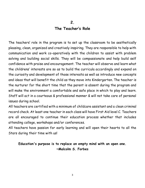### **The Teacher's Role**

The teachers' role in the program is to set up the classroom to be aesthetically pleasing, clean, organized and creatively inspiring. They are responsible to help with communication and work co-operatively with the children to assist with problem solving and building social skills. They will be compassionate and help build self confidence with praise and encouragement. The teacher will observe and learn what the childrens' interests are so as to build the curricula accordingly and expand on the curiosity and development of those interests as well as introduce new concepts and ideas that will benefit the child as they move into Kindergarten. The teacher is the nurturer for the short time that the parent is absent during the program and will make the environment a comfortable and safe place in which to play and learn. Staff will act in a courteous & professional manner & will not take care of personal issues during school.

All teachers are certified with a minimum of childcare assistant and a clean criminal record check. At least one teacher in each class will have First Aid level C. Teachers are all encouraged to continue their education process whether that includes attending college, workshops and/or conferences.

All teachers have passion for early learning and will open their hearts to all the Stars during their time with us!

**Education's purpose is to replace an empty mind with an open one. ~Malcolm S. Forbes**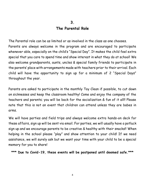## **The Parental Role**

The Parental role can be as limited or as involved in the class as one chooses. Parents are always welcome in the program and are encouraged to participate whenever able, especially on the child's "Special Day". It makes the child feel extra special that you care to spend time and show interest in what they do at school! We also welcome grandparents, aunts, uncles & special family friends to participate in the parents' place with arrangements made with teachers prior to their arrival. Each child will have the opportunity to sign up for a minimum of 2 "Special Days" throughout the year.

Parents are asked to participate in the monthly Toy Clean if possible, to cut down on sicknesses and keep the classroom healthy! Come and enjoy the company of the teachers and parents; you will be back for the socialization & fun of it all!! Please note that this is not an event that children can attend unless they are babes in arms.

We will have parties and field trips and always welcome extra hands-on deck for these affairs, sign up will be sent via email. For parties, we will usually have a potluck sign up and we encourage parents to be creative & healthy with their snacks!! When helping in the school please "play" and show attention to your child! If we need assistance, we will surely ask but we want your time with your child to be a special memory for you to share!

**\*\*\* Due to Covid-19, these events will be postponed until deemed safe.\*\*\***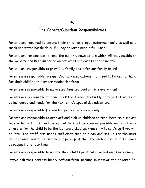### **The Parent/Guardian Responsibilities**

Parents are required to ensure their child has proper outerwear daily as well as a snack and water bottle daily. Full day children need a full lunch.

Parents are responsible to read the monthly newsletters which will be viewable on the website and keep informed on activities and dates for the month.

Parents are responsible to provide a family photo for our family board.

Parents are responsible to sign in/out any medications that need to be kept on hand for their child on the proper medication form.

Parents are responsible to make sure fees are paid on time every month.

Parents are responsible to bring back the special day buddy on time so that it can be laundered and ready for the next child's special day adventure.

Parents are responsible for sending proper outerwear daily.

Parents are responsible to drop off and pick up children on time, because our class time is limited it is most beneficial to start as soon as possible and it is very stressful for the child to be the last one picked up. Please try to call/msg if you will be late. The staff also needs sufficient time to clean and set up for the next program and need to be on time for pick up of the after-school program so please be respectful of our time.

Parents are responsible to update their child's personal information as necessary.

**\*\*We ask that parents kindly refrain from smoking in view of the children \*\***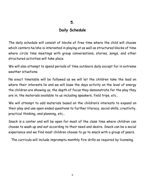## **Daily Schedule**

The daily schedule will consist of blocks of free time where the child will choose which centers he/she is interested in playing at as well as structured blocks of time where circle time meetings with group conversations, stories, songs, and other structured activities will take place.

We will also attempt to spend periods of time outdoors daily except for in extreme weather situations.

No exact timetable will be followed as we will let the children take the lead on where their interests lie and we will base the days activity on the level of energy the children are showing us, the depth of focus they demonstrate for the play they are in, the materials available to us including speakers, field trips, etc…

We will attempt to add materials based on the children's interests to expand on their play and use open ended questions to further literacy, social skills, creativity, practical thinking, and planning, etc…

Snack is a center and will be open for most of the class time where children can choose to wash up and eat according to their need and desire. Snack can be a social experience and we find most children choose to go to snack with a group of peers.

The curricula will include impromptu monthly fire drills as required by licensing.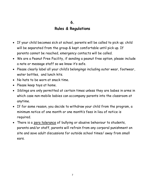## **Rules & Regulations**

- If your child becomes sick at school, parents will be called to pick up; child will be separated from the group & kept comfortable until pick up. If parents cannot be reached, emergency contacts will be called.
- We are a Peanut Free Facility, if sending a peanut free option, please include a note or message staff so we know it's safe.
- Please clearly label all your child's belongings including outer wear, footwear, water bottles, and lunch kits.
- No hats to be worn at snack time.
- Please keep toys at home.
- Siblings are only permitted at certain times unless they are babes in arms in which case non-mobile babies can accompany parents into the classroom at anytime.
- If for some reason, you decide to withdraw your child from the program, a minimum notice of one month or one month's fees in lieu of notice is required.
- There is a zero tolerance of bullying or abusive behaviour to students, parents and/or staff, parents will refrain from any corporal punishment on site and save adult discussions for outside school times/ away from small ears.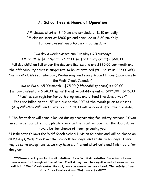## **7. School Fees & Hours of Operation**

AM classes start at 8:45 am and conclude at 11:15 am daily PM classes start at 12:00 pm and conclude at 2:30 pm daily Full day classes run 8:45 am - 2:30 pm daily

Two day a week classes run Tuesdays & Thursdays AM or PM @ \$135/month - \$75.00 (affordability grant) = \$60.00. Full day children fall under the daycare license and are \$280.00 per month and the affordability grant is subjective to hours obtained (50+ hours =\$225.00 off). Our Pre-K classes run Monday , Wednesday, and every second Friday (according to the Wolf Creek Calendar)

AM or PM \$165.00/month – \$75.00 (affordability grant) = \$90.00. Full day classes are \$340.00 minus the affordability grant of \$225.00 = \$115.00 \*Families can register for both programs and attend five days a week\* Fees are billed on the  $15<sup>th</sup>$  and due on the  $20<sup>th</sup>$  of the month prior to classes (Aug 20<sup>th</sup>-May 20<sup>th</sup>) and a late fee of \$10.00 will be added after the due date.

\* The front door will remain locked during programming for safety reasons. If you need to get our attention, please knock on the front window (not the door) so we have a better chance of hearing/seeing you!

\* Little Star follows the Wolf Creek School Division Calendar and will be closed on all PD days, Wolf Creek weather cancellation days, and statuary holidays. There may be some exceptions as we may have a different start date and finish date for the year.

**\*\*\*Please check your local radio stations, including their websites for school closure announcements throughout the winter. I will do my best to e-mail school closures out as well but if Wolf Creek makes the call, you can assume we are closed. The safety of our Little Stars Families & our Staff come first!!\*\*\***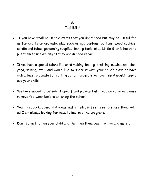# **8. Tid Bits!**

- If you have small household items that you don't need but may be useful for us for crafts or dramatic play such as egg cartons, buttons, wood cookies, cardboard tubes, gardening supplies, baking tools, etc… Little Star is happy to put them to use as long as they are in good repair.
- If you have a special talent like card making, baking, crafting, musical abilities, yoga, sewing, etc... and would like to share it with your child's class or have extra time to donate for cutting out art projects we love help & would happily use your skills!!
- We have moved to outside drop-off and pick-up but if you do come in, please remove footwear before entering the school!
- Your feedback, opinions & ideas matter, please feel free to share them with us! I am always looking for ways to improve the programs!
- Don't forget to hug your child and then hug them again for me and my staff!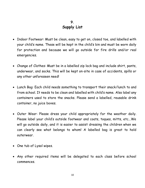## **9. Supply List**

- Indoor Footwear: Must be clean, easy to get on, closed toe, and labelled with your child's name. These will be kept in the child's bin and must be worn daily for protection and because we will go outside for fire drills and/or real emergencies.
- Change of Clothes: Must be in a labelled zip lock bag and include shirt, pants, underwear, and socks. This will be kept on-site in case of accidents, spills or any other unforeseen need!
- Lunch Bag: Each child needs something to transport their snack/lunch to and from school. It needs to be clean and labelled with child's name. Also label any containers used to store the snacks. Please send a labelled, reusable drink container, no juice boxes.
- Outer Wear: Please dress your child appropriately for the weather daily. Please label your child's outside footwear and coats, toques, mitts, etc...We will go outside daily, and it is easier to assist dressing the children when we can clearly see what belongs to whom! A labelled bag is great to hold outerwear.
- One tub of Lysol wipes.
- Any other required items will be delegated to each class before school commences.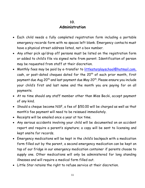## **Administration**

- Each child needs a fully completed registration form including a portable emergency records form with no spaces left blank. Emergency contacts must have a physical street address listed, not a box number.
- Any other pick up/drop off persons must be listed on the registration form or added to child's file via signed note from parent. Identification of person may be requested from staff at their discretion.
- Monthly fees may be paid by e-transfer to [littlestarplayschool@hotmail.com,](mailto:littlestarplayschool@hotmail.com) cash, or post-dated cheques dated for the  $20<sup>th</sup>$  of each prior month, first payment due Aug 20<sup>th</sup> and last payment due May 20<sup>th</sup>. Please ensure you include your child's first and last name and the month you are paying for on all payments.
- At no time should any staff member other than Miss Becki, accept payment of any kind.
- Should a cheque become NSF, a fee of \$50.00 will be charged as well as that month's fee payment will need to be reissued immediately.
- Receipts will be emailed once a year at tax time.
- Any serious accidents involving your child will be documented on an accident report and require a parent's signature; a copy will be sent to licensing and kept onsite for records.
- Emergency medications will be kept in the child's backpack with a medication form filled out by the parent, a second emergency medication can be kept on top of our fridge in our emergency medication container if parents choose to supply one. Other medications will only be administered for long standing illnesses and will require a medical form filled out.
- Little Star retains the right to refuse service at their discretion.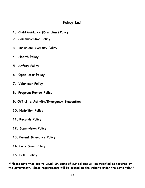# **Policy List**

- **1. Child Guidance (Discipline) Policy**
- **2. Communication Policy**
- **3. Inclusion/Diversity Policy**
- **4. Health Policy**
- **5. Safety Policy**
- **6. Open Door Policy**
- **7. Volunteer Policy**
- **8. Program Review Policy**
- **9. Off-Site Activity/Emergency Evacuation**
- **10. Nutrition Policy**
- **11. Records Policy**
- **12. Supervision Policy**
- **13. Parent Grievance Policy**
- **14. Lock Down Policy**
- **15. FOIP Policy**

**\*\*Please note that due to Covid-19, some of our policies will be modified as required by the government. These requirements will be posted on the website under the Covid tab.\*\***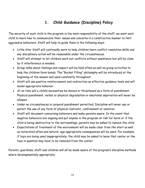# **1. Child Guidance (Discipline) Policy**

The security of each child in the program is the main responsibility of the staff; we want each child to learn how to communicate their issues and concerns in a constructive manner to limit aggressive behaviors. Staff will help to guide them in the following ways:

- Little Star Staff will continually work to help children learn conflict resolution skills and any disciplinary action will be reasonable under the circumstances.
- Staff will attempt to let children work out conflicts without assistance but will be close by if interference is needed.
- Group talks about feelings and respect will be held often as well as group activities to help the children form bonds. The "Bucket Filling" philosophy will be introduced at the beginning of the season and used constantly throughout.
- Staff will use positive reinforcement and redirection as effective guidance tools and will model appropriate behavior.
- At no time will a child's necessities be denied or threatened as a form of punishment. Physical punishment, verbal or physical degradation or emotional deprivation will never be allowed.
- Under no circumstances is corporal punishment permitted. Discipline will never use or permit the use of any form of physical restraint, confinement or isolation.
- Staff will document concerning behaviors and make parents aware. In the event that negative behaviors are ongoing and put anyone in the program at risk for harm or if the child is being destructive to the surroundings, parents may be asked to remove the child.
- Expectations of treatment of the environment will be made clear from the start as well as reiterated often and natural, age-appropriate consequences will be used. For example, if toys are being used inappropriately, the child may be asked to leave that center or the toys in question may have to be removed from the center.

Parents, guardians, staff and children will all be made aware of the program's discipline methods where developmentally appropriate.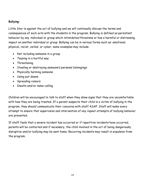#### **Bullying:**

Little Star is against the act of bullying and we will continually discuss the terms and consequences of such acts with the students in the program. Bullying is defined as persistent behavior by any individual or group which intimidates/threatens or has a harmful or distressing impact on another individual or group. Bullying can be in various forms such as: emotional, physical, racist, verbal, or cyber, some examples may include:

- Not including someone in a group
- Teasing in a hurtful way
- Threatening
- Stealing or destroying someone's personal belongings
- Physically harming someone
- Using put downs
- Spreading rumors
- Insults and/or name calling

Children will be encouraged to talk to staff when they show signs that they are uncomfortable with how they are being treated. If a parent suspects their child is a victim of bullying in the program, they should communicate their concerns with staff ASAP. Staff will make every attempt to ensure that supervision and intervention of any repeat attempts of bullying behavior are prevented.

If staff feels that a severe incident has occurred or if repetitive incidents have occurred, parents will be contacted and if necessary, the child involved in the act of being dangerously disruptive and/or bullying may be sent home. Recurring incidents may result in expulsion from the program.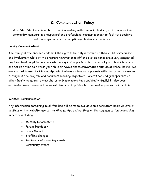# **2. Communication Policy**

Little Star Staff is committed to communicating with families, children, staff members and community members in a respectful and professional manner in order to facilitate positive relationships and create an optimum childcare experience.

#### **Family Communication:**

The family of the enrolled child has the right to be fully informed of their child's experience and involvement while at the program however drop off and pick up times are a very congested buy time to attempt to communicate during so it is preferable to contact your child's teachers and set up a time to discuss your child or have a phone conversation outside of school hours. We are excited to use the Himama App which allows us to update parents with photos and messages throughout the program and document learning objectives. Parents can add grandparents or other family members to view photos on Himama and keep updated virtually! It also does automatic invoicing and is how we will send email updates both individually as well as by class.

#### **Written Communication:**

Any information pertaining to all families will be made available on a consistent basis via emails, postings on the website, use of the Himama App and postings on the communication board/sign in center including:

- Monthly Newsletters
- Parent Handbook
- Policy Manual
- Staffing changes
- Reminders of upcoming events
- Community events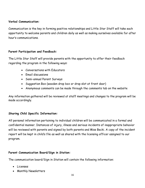#### **Verbal Communication:**

Communication is the key in forming positive relationships and Little Star Staff will take each opportunity to welcome parents and children daily as well as making ourselves available for after hour's communications.

#### **Parent Participation and Feedback:**

The Little Star Staff will provide parents with the opportunity to offer their feedback regarding the program in the following ways:

- Conversations with Educators
- Email discussions
- Semi-annual Parent Surveys
- Suggestion Box (wooden drop box or drop slot at front door)
- Anonymous comments can be made through the comments tab on the website

Any information gathered will be reviewed at staff meetings and changes to the program will be made accordingly.

#### **Sharing Child Specific Information:**

All personal information pertaining to individual children will be communicated in a formal and confidential manner. Instances of injury, illness and serious incidents of inappropriate behavior will be reviewed with parents and signed by both parents and Miss Becki. A copy of the incident report will be kept in child's file as well as shared with the licensing officer assigned to our program.

#### **Parent Communication Board/Sign in Station:**

The communication board/Sign in Station will contain the following information:

- Licenses
- Monthly Newsletters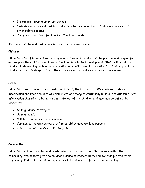- Information from elementary schools
- Outside resources related to children's activities &/ or health/behavioral issues and other related topics.
- Communications from families i.e.: Thank you cards

The board will be updated as new information becomes relevant.

#### **Children:**

Little Star Staff interactions and communications with children will be positive and respectful and support the children's social-emotional and intellectual development. Staff will assist the children in developing problem-solving skills and conflict resolution skills. Staff will support the children in their feelings and help them to express themselves in a respective manner.

#### **School:**

Little Star has an ongoing relationship with IREC, the local school. We continue to share information and keep the lines of communication strong to continually build our relationship. Any information shared is to be in the best interest of the children and may include but not be limited to:

- Child guidance strategies
- Special needs
- Collaboration on extracurricular activities
- Communicating with school staff to establish good working rapport
- Integration of Pre-K's into Kindergarten

#### **Community:**

Little Star will continue to build relationships with organizations/businesses within the community. We hope to give the children a sense of responsibility and ownership within their community. Field trips and Guest speakers will be planned to fit into the curriculum.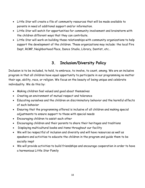- Little Star will create a file of community resources that will be made available to parents in need of additional support and/or information.
- Little Star will watch for opportunities for community involvement and brainstorm with the children different ways that they can contribute.
- Little Star will work on building these relationships with community organizations to help support the development of the children. These organizations may include: the local Fire Dept, RCMP, Neighborhood Place, Dance Studio, Library, Dentist, etc…

# **3. Inclusion/Diversity Policy**

Inclusion is to be included, to hold, to embrace, to involve, to count, among. We are an inclusive program in that all children have equal opportunity to participate in our programming no matter their age, ability, race, or religion. We focus on the beauty of being unique and celebrate individuality. We do this by:

- Making children feel valued and good about themselves
- Creating an environment of mutual respect and tolerance
- Educating ourselves and the children on discriminatory behavior and the harmful effects of such behavior
- Ensuring that the programming offered is inclusive of all children and making special adjustments to ensure support to those with special needs
- Encouraging children to assist each other
- Encouraging children and their parents to share their heritages and traditions
- Displaying multicultural books and items throughout our facility
- We will be respectful of inclusion and diversity and will have resources as well as speakers and activities to educate the children in the program and guide them to be socially inept
- We will provide activities to build friendships and encourage cooperation in order to have a harmonious Little Star Family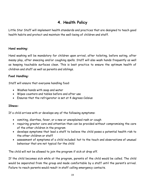# **4. Health Policy**

Little Star Staff will implement health standards and practices that are designed to teach good health habits and protect and maintain the well-being of children and staff.

#### **Hand washing:**

Hand washing will be mandatory for children upon arrival, after toileting, before eating, after messy play, after sneezing and/or coughing spells. Staff will also wash hands frequently as well as keeping touchable surfaces clean. This is best practice to ensure the optimum health of children and staff as well as parents and siblings.

#### **Food Handling:**

Staff will ensure that everyone handling food:

- Washes hands with soap and water
- Wipes counters and tables before and after use
- Ensures that the refrigerator is set at 4 degrees Celsius

#### **Illness:**

If a child arrives with or develops any of the following symptoms:

- vomiting, diarrhea, fever, or a new or unexplained rash or cough
- requiring greater care and attention than can be provided without compromising the care of the other children in the program
- develops symptoms that lead a staff to believe the child poses a potential health risk to the other children or staff
- assessment of symptoms of a child included: hot to the touch and observations of unusual behaviour that are not typical for the child

The child will not be allowed to join the program if sick at drop off.

If the child becomes sick while at the program, parents of the child would be called. The child would be separated from the group and made comfortable by a staff until the parent's arrival. Failure to reach parents would result in staff calling emergency contacts.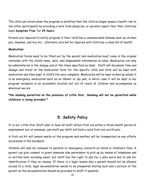The child can return when the program is satisfied that the child no longer poses a health risk to the other participants by providing a note from physician, or parents report that their child has been **Symptom Free** for **24 hours**.

Parents are required to notify program if their child has a communicable disease such as chicken pox, measles, and lice etc… alternate care will be required until child has a clean bill of health.

#### **Medication:**

Medication forms need to be filled out by the parent and medication must come in the original container with the child's name, date, and dispensable information on label. Medication can only be administered in the dosage and at the times specified on label. Staff will document time and dosage and initial on the medication form for the specific child and form will be kept with medication and then kept in child's file once complete. Medication will be kept locked up unless it is an emergency medication such as an inhaler or epi pen, in which case it will be kept in our program backpack in an accessible location but out of reach of children and accompanies us wherever we are.

**\*No smoking permitted on the premises of Little Star. Smoking will not be permitted while childcare is being provided.\***

# **5. Safety Policy**

It is our Little Star Staff plan to have all staff obtain first aid within a three-month period of employment but at minimum, one staff per shift will hold a valid first aid certificate.

A first aid kit will remain onsite at the program and another will be transported on any offsite excursions in the backpack.

Children will only be released to parents or emergency contacts as listed in children's files. A parent can give consent to grant someone else permission to pick up by means of telephone and or written note including email, but staff has the right to ask for a safe word and to ask for identification if they so choose. If there is a legal reason why a parent should not be allowed access to a child, legal documentation needs to be presented stating such and a picture of the parent on the documentation should be provided to staff if possible.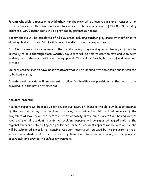Parents who wish to transport a child other than their own will be required to sign a transportation form and any staff that transports will be required to have a minimum of \$1000000.00 liability insurance. Car/Booster seats will be provided by parents as needed.

Safety checks will be completed of all play areas including outdoor play areas by staff prior to allowing children to play. Staff will have a checklist to use for inspections.

Staff is to ensure the cleanliness of the facility during programming and a cleaning staff will be in weekly to do a thorough clean. Monthly toy cleans will be held to sanitize toys and wipe down shelving and containers that house the equipment. This will be done by both staff and volunteer parents.

Children are required to have indoor footwear that will be labelled with their name and is required to be kept onsite.

Parents must provide written consent to allow for health care provisions or the health care provided is in the nature of first aid.

#### **Accident reports:**

Accident reports will be made up for any serious injury or illness to the child while in attendance of the program or any other incident that may occur while the child is in attendance of the program that may seriously affect the health or safety of the child. Parents will be required to read and sign all accident reports. All accident reports will be reported immediately to the regional childcare office using the prescribed form. All accident reports will be kept on file and will be submitted annually to licensing. Accident reports will be used by the program to track accidents/incidents and to help us identify trends or issues so we can adjust the program accordingly and provide the safest environment.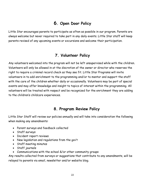# **6. Open Door Policy**

Little Star encourages parents to participate as often as possible in our program. Parents are always welcome but never required to take part in any daily events. Little Star staff will keep parents revised of any upcoming events or excursions and welcome their participation.

# **7. Volunteer Policy**

Any volunteers welcomed into the program will not be left unsupervised while with the children. Volunteers will only be allowed in at the discretion of the owner or director who reserves the right to require a criminal record check as they see fit. Little Star Programs will invite volunteers in to add enrichment to the programming and/or to mentor and support the staff with the care of the children whether daily or occasionally. Volunteers may be part of special events and may offer knowledge and insight to topics of interest within the programming. All volunteers will be treated with respect and be recognized for the enrichment they are adding to the children's childcare experiences.

# **8. Program Review Policy**

Little Star Staff will review our policies annually and will take into consideration the following when making any amendments:

- Parent surveys and feedback collected
- Staff surveys
- Incident report reviews
- New legislation and regulations from the gov't
- Staff meeting minutes
- Staff journals
- Communications with the school &/or other community groups

Any results collected from surveys or suggestions that contribute to any amendments, will be relayed to parents via email, newsletter and/or website blog.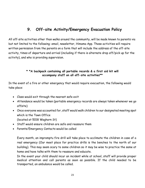# **9. Off-site Activity/Emergency Evacuation Policy**

All off-site activities other than walks around the community, will be made known to parents via but not limited to the following: email, newsletter, Himama App. These activities will require written permission from the parents on a form that will include the address of the off-site activity, times of departure and arrival (including if there is alternate drop off/pick up for the activity), and who is providing supervision.

#### **\* \*A backpack containing all portable records & a first aid kit will accompany staff on all off-site activities\*\***

In the event of a fire or other emergency that would require evacuation, the following would take place:

- Class would exit through the nearest safe exit
- Attendance would be taken (portable emergency records are always taken whenever we go offsite)
- Once everyone was accounted for, staff would walk children to our designated meeting spot which is the Town Office (located at 5018 Waghorn St)
- Staff would ensure children are safe and reassure them
- Parents/Emergency Contacts would be called

Every month, an impromptu fire drill will take place to acclimate the children in case of a real emergency (Our meet place for practice drills is the benches to the north of our building). This may seem scary to some children so it may be wise to practice the same at home and have talks with them to reassure and educate.

In the event your child should incur an incident while at school, staff will provide proper medical attention and call parents as soon as possible. If the child needed to be transported, an ambulance would be called.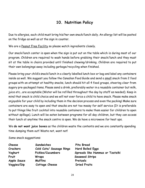# **10. Nutrition Policy**

Due to allergies, each child must bring his/her own snack/lunch daily. An allergy list will be posted on the fridge as well as at the sign in counter.

We are a Peanut Free Facility so please watch ingredients closely.

Our snack/lunch center is open when the sign is put out on the table which is during most of our program. Children are required to wash hands before grabbing their snack/lunch and they must sit at the table in chairs provided until finished chewing/drinking. Children are required to put their own belongings away including garbage/recycling when finished.

Please bring your child's snack/lunch in a clearly labelled lunch box or bag and label any containers inside as well. We suggest you follow the Canadian Food Guide and send a small snack from 2 food groups with an attempt at healthy snacks, lunch should hit all 4 food groups, steering clear from sugary pre-packaged items. Please send a drink, preferably water in a reusable container but milk, juice etc...are acceptable (Water will be refilled throughout the day by staff as needed). Keep in mind that snack is child choice and we will not ever force a child to have snack. Please make snack enjoyable for your child by including them in the decision process and even the packing! Make sure containers are easy to open and that snacks are not too messy for self service (It is preferable to put things like fruit cocktail into reusable containers to make them easier for children to open without spillage). Lunch will be eaten between programs for all day children, but they can access their lunch at anytime the snack centre is open. We do have a microwave for heat ups.

We **do not want juice boxes** as the children waste the contents and we are constantly spending time dumping them out! Waste not, want not!

Some snack suggestions:

| Cheese             | Sandwiches               | Pita Bread                      |
|--------------------|--------------------------|---------------------------------|
| <b>Crackers</b>    | Cold Cuts/ Sausage Rings | <b>Hard Boiled Eggs</b>         |
| Yoghurt            | Pickles/Cucumbers        | Spreads like Hummus or Tzatziki |
| Fruit              | Wraps                    | <b>Seaweed Strips</b>           |
| <b>Apple Sauce</b> | <b>Muffins</b>           | Pretzels                        |
| Veggies/Dip        | Cottage Cheese           | <b>Dried Fruits</b>             |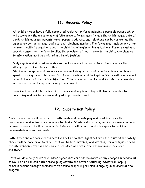# **11. Records Policy**

All children must have a fully completed registration form including a portable record which will accompany the group on any offsite travels. Forms must include the child's name, date of birth, child's address, parents' name, parent's address, and telephone number as well as the emergency contact's name, address, and telephone number. The forms must include any other relevant health information about the child like allergies or immunizations. Parents must also provide consent on the form to allow the provision of health care to the child. Any changes to information must be updated in a timely fashion.

Daily sign in and sign out records must include arrival and departure times. We use the Himama app to keep track of this.

Staff must keep daily attendance records including arrival and departure times and hours spent providing direct childcare. Staff certification must be kept on file as well as a criminal record check and first aid certification. Criminal record checks must include the vulnerable sector search and be updated every three years.

Forms will be available for licensing to review at anytime. They will also be available for parents/guardians to review/modify at appropriate times.

# **12. Supervision Policy**

Daily observations will be made for both inside and outside play and used to ensure that programming and set-up are conducive to children's' interests, safety, and inclusiveness and any behavioral concerns will be documented. Journals will be kept in the backpack for offsite documentation as well as onsite.

Both indoor and outdoor environments will set up so that sightlines are unobstructed and safety checks will be done prior to play. Staff will be both listening and watching for any signs of need for intervention. Staff will be aware of children who are in the washroom and may need assistance.

Staff will do a daily count of children signed into care and be aware of any changes in headcount as well as do a roll call both before going offsite and before returning. Staff will keep up communications amongst themselves to ensure proper supervision is ongoing in all areas of the program.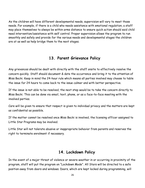As the children will have different developmental needs, supervision will vary to meet those needs. For example, if there is a child who needs assistance with emotional regulation, a staff may place themselves to always be within arms distance to ensure quick action should said child need intervention/assistance with self control. Proper supervision allows the program to run smoothly and safely and provide for the various needs and developmental stages the children are at as well as help bridge them to the next stages.

## **13. Parent Grievance Policy**

Any grievances should be dealt with directly with the staff onsite to effectively resolve the concern quickly. Staff should document & date the occurrence and bring it to the attention of Miss Becki. Keep in mind the 24-hour rule which means all parties involved may choose to table the issue for 24 hours to come back to the issue calmer and with better perspective.

If the issue is not able to be resolved, the next step would be to take the concern directly to Miss Becki. This can be done via email, text, phone, or as a face-to-face meeting with the involved parties.

Care will be given to ensure that respect is given to individual privacy and the matters are kept as confidential as possible.

If the matter cannot be resolved once Miss Becki is involved, the licensing officer assigned to Little Star Programs may be involved.

Little Star will not tolerate abusive or inappropriate behavior from parents and reserves the right to terminate enrolment if necessary.

## **14. Lockdown Policy**

In the event of a major threat of violence or severe weather in or occurring in proximity of the program, staff will put the program on "Lockdown Mode". All Stars will be directed to a safe position away from doors and windows. Doors, which are kept locked during programming, will